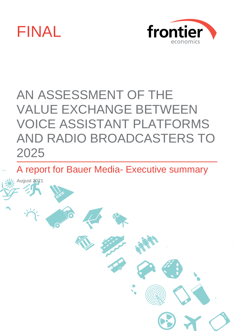

August 2021



# AN ASSESSMENT OF THE VALUE EXCHANGE BETWEEN VOICE ASSISTANT PLATFORMS AND RADIO BROADCASTERS TO 2025

A report for Bauer Media- Executive summary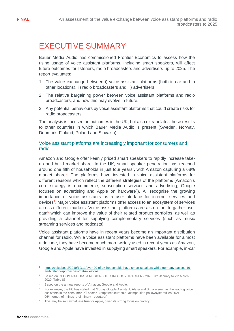# EXECUTIVE SUMMARY

Bauer Media Audio has commissioned Frontier Economics to assess how the rising usage of voice assistant platforms, including smart speakers, will affect future outcomes for listeners, radio broadcasters and advertisers up to 2025. The report evaluates:

- 1. The value exchange between i) voice assistant platforms (both in-car and in other locations), ii) radio broadcasters and iii) advertisers.
- 2. The relative bargaining power between voice assistant platforms and radio broadcasters, and how this may evolve in future.
- 3. Any potential behaviours by voice assistant platforms that could create risks for radio broadcasters.

The analysis is focused on outcomes in the UK, but also extrapolates these results to other countries in which Bauer Media Audio is present (Sweden, Norway, Denmark, Finland, Poland and Slovakia).

# Voice assistant platforms are increasingly important for consumers and radio

Amazon and Google offer keenly priced smart speakers to rapidly increase takeup and build market share. In the UK, smart speaker penetration has reached around one fifth of households in just four years<sup>1</sup>, with Amazon capturing a 68% market share<sup>2</sup>. The platforms have invested in voice assistant platforms for different reasons which reflect the different strategies of the platforms (Amazon's core strategy is e-commerce, subscription services and advertising; Google focuses on advertising and Apple on hardware<sup>3</sup>). All recognise the growing importance of voice assistants as a user-interface for internet services and devices<sup>4</sup>. Major voice assistant platforms offer access to an ecosystem of services across different markets. Voice assistant platforms are also a tool to gather user data $5$  which can improve the value of their related product portfolios, as well as providing a channel for supplying complementary services (such as music streaming services and podcasts).

Voice assistant platforms have in recent years become an important distribution channel for radio. While voice assistant platforms have been available for almost a decade, they have become much more widely used in recent years as Amazon, Google and Apple have invested in supplying smart speakers. For example, in-car

<sup>1</sup> [https://voicebot.ai/2019/10/11/over-20-of-uk-households-have-smart-speakers-while-germany-passes-10](https://voicebot.ai/2019/10/11/over-20-of-uk-households-have-smart-speakers-while-germany-passes-10-and-ireland-approaches-that-milestone/) [and-ireland-approaches-that-milestone/](https://voicebot.ai/2019/10/11/over-20-of-uk-households-have-smart-speakers-while-germany-passes-10-and-ireland-approaches-that-milestone/)

Based on OFCOM NATIONS & REGIONS TECHNOLOGY TRACKER - 2020. 9th January to 7th March 2020. Table 83

<sup>&</sup>lt;sup>3</sup> Based on the annual reports of Amazon, Google and Apple.

<sup>4</sup> For example, the EC has stated that "Today Google Assistant, Alexa and Siri are seen as the leading voice assistants in the consumer IoT sector." (https://ec.europa.eu/competition-policy/system/files/2021- 06/internet\_of\_things\_preliminary\_report.pdf)

<sup>&</sup>lt;sup>5</sup> This may be somewhat less true for Apple, given its strong focus on privacy.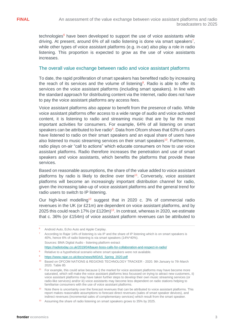technologies $6$  have been developed to support the use of voice assistants while driving. At present, around 6% of all radio listening is done via smart speakers<sup>7</sup>, while other types of voice assistant platforms (e.g. in-car) also play a role in radio listening. This proportion is expected to grow as the use of voice assistants increases.

#### The overall value exchange between radio and voice assistant platforms

To date, the rapid proliferation of smart speakers has benefited radio by increasing the reach of its services and the volume of listening<sup>8</sup>. Radio is able to offer its services on the voice assistant platforms (including smart speakers). In line with the standard approach for distributing content via the Internet, radio does not have to pay the voice assistant platforms any access fees.

Voice assistant platforms also appear to benefit from the presence of radio. While voice assistant platforms offer access to a wide range of audio and voice activated content, it is listening to radio and streaming music that are by far the most important activities for consumers. For example, 64% of all listening on smart speakers can be attributed to live radio<sup>9</sup>. Data from Ofcom shows that 63% of users have listened to radio on their smart speakers and an equal share of users have also listened to music streaming services on their smart speakers<sup>10</sup>. Furthermore, radio plays on-air "call to actions" which educate consumers on how to use voice assistant platforms. Radio therefore increases the penetration and use of smart speakers and voice assistants, which benefits the platforms that provide these services.

Based on reasonable assumptions, the share of the value added to voice assistant platforms by radio is likely to decline over time<sup>11</sup>. Conversely, voice assistant platforms will become an increasingly important distribution channel for radio, given the increasing take-up of voice assistant platforms and the general trend for radio users to switch to IP listening.

Our high-level modelling<sup>12</sup> suggest that in 2020 c. 3% of commercial radio revenues in the UK (or £21m) are dependent on voice assistant platforms, and by 2025 this could reach 17% (or £120m)<sup>13</sup>. In contrast, whereas in 2020, we estimate that c. 36% (or £154m) of voice assistant platform revenues can be attributed to

<sup>&</sup>lt;sup>6</sup> Android Auto, Echo Auto and Apple Carplay.

According to Rajar 14% of listening is via IP and the share of IP listening which is on smart speakers is 40%, hence 6% of radio listening is via smart speakers (14%\*40%). Sources: BMA Digital Audio - listening platform extract <https://radiotoday.co.uk/2019/04/bauer-boss-calls-for-collaboration-and-respect-in-radio/>

<sup>&</sup>lt;sup>8</sup> Relative to a hypothetical scenario where smart speakers were not available.

<sup>9</sup> [https://www.rajar.co.uk/docs/news/MIDAS\\_Spring\\_2020.pdf](https://www.rajar.co.uk/docs/news/MIDAS_Spring_2020.pdf)

<sup>&</sup>lt;sup>10</sup> Based on OFCOM NATIONS & REGIONS TECHNOLOGY TRACKER - 2020. 9th January to 7th March 2020. Table 85

<sup>11</sup> For example, this could arise because i) the market for voice assistant platforms may have become more saturated, which will make the voice assistant platforms less focussed on trying to attract new customers, ii) voice assistant platforms may have taken further steps to develop their own music streaming services (or radio-like services) and/or iii) voice assistants may become less dependent on radio stations helping to familiarise consumers with the use of voice assistant platforms.

<sup>&</sup>lt;sup>12</sup> Note there is uncertainty over the forecast revenues that can be attributed to voice assistant platforms. This report makes reasonable assumptions to forecast direct revenues (sales of smart speaker devices), and indirect revenues (incremental sales of complementary services) which result from the smart speaker.

<sup>&</sup>lt;sup>13</sup> Assuming the share of radio listening on smart speakers grows to 35% by 2025.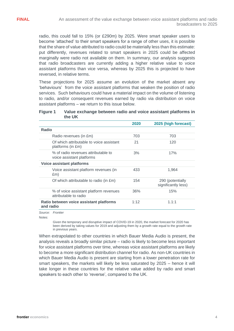radio, this could fall to 15% (or £290m) by 2025. Were smart speaker users to become 'attached' to their smart speakers for a range of other uses, it is possible that the share of value attributed to radio could be materially less than this estimate: put differently, revenues related to smart speakers in 2025 could be affected marginally were radio not available on them. In summary, our analysis suggests that radio broadcasters are currently adding a higher relative value to voice assistant platforms than vice versa, whereas by 2025 this is projected to have reversed, in relative terms.

These projections for 2025 assume an evolution of the market absent any 'behaviours' from the voice assistant platforms that weaken the position of radio services. Such behaviours could have a material impact on the volume of listening to radio, and/or consequent revenues earned by radio via distribution on voice assistant platforms – we return to this issue below.

#### <span id="page-3-0"></span>**Figure 1 Value exchange between radio and voice assistant platforms in the UK**

|                                                                  | 2020 | 2025 (high forecast)                    |
|------------------------------------------------------------------|------|-----------------------------------------|
| <b>Radio</b>                                                     |      |                                         |
| Radio revenues (in £m)                                           | 703  | 703                                     |
| Of which attributable to voice assistant<br>platforms (in £m)    | 21   | 120                                     |
| % of radio revenues attributable to<br>voice assistant platforms | 3%   | 17%                                     |
| <b>Voice assistant platforms</b>                                 |      |                                         |
| Voice assistant platform revenues (in<br>Em)                     | 433  | 1.964                                   |
| Of which attributable to radio (in £m)                           | 154  | 290 (potentially<br>significantly less) |
| % of voice assistant platform revenues<br>attributable to radio  | 36%  | 15%                                     |
| Ratio between voice assistant platforms<br>and radio             | 1:12 | 1.1:1                                   |

*Source: Frontier*

Notes:

Given the temporary and disruptive impact of COVID-19 in 2020, the market forecast for 2020 has been derived by taking values for 2019 and adjusting them by a growth rate equal to the growth rate in previous years.

When extrapolated to other countries in which Bauer Media Audio is present, the analysis reveals a broadly similar picture – radio is likely to become less important for voice assistant platforms over time, whereas voice assistant platforms are likely to become a more significant distribution channel for radio. As non-UK countries in which Bauer Media Audio is present are starting from a lower penetration rate for smart speakers, the markets will likely be less saturated by 2025 – hence it will take longer in these countries for the relative value added by radio and smart speakers to each other to 'reverse', compared to the UK.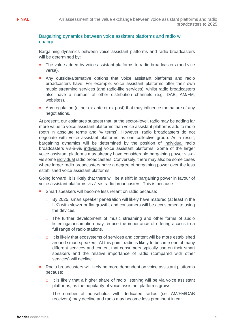# Bargaining dynamics between voice assistant platforms and radio will change

Bargaining dynamics between voice assistant platforms and radio broadcasters will be determined by:

- **The value added by voice assistant platforms to radio broadcasters (and vice** versa).
- Any outside/alternative options that voice assistant platforms and radio broadcasters have. For example, voice assistant platforms offer their own music streaming services (and radio-like services), whilst radio broadcasters also have a number of other distribution channels (e.g. DAB, AM/FM, websites).
- Any regulation (either ex-ante or ex-post) that may influence the nature of any negotiations.

At present, our estimates suggest that, at the sector-level, radio may be adding far more value to voice assistant platforms than voice assistant platforms add to radio (both in absolute terms and % terms). However, radio broadcasters do not negotiate with voice assistant platforms as one collective group. As a result, bargaining dynamics will be determined by the position of individual radio broadcasters vis-à-vis individual voice assistant platforms. Some of the larger voice assistant platforms may already have considerable bargaining power vis-avis some individual radio broadcasters. Conversely, there may also be some cases where larger radio broadcasters have a degree of bargaining power over the less established voice assistant platforms.

Going forward, it is likely that there will be a shift in bargaining power in favour of voice assistant platforms vis-à-vis radio broadcasters. This is because:

- Smart speakers will become less reliant on radio because:
	- $\Box$  By 2025, smart speaker penetration will likely have matured (at least in the UK) with slower or flat growth, and consumers will be accustomed to using the devices.
	- $\Box$  The further development of music streaming and other forms of audio listening/consumption may reduce the importance of offering access to a full range of radio stations.
	- $\Box$  It is likely that ecosystems of services and content will be more established around smart speakers. At this point, radio is likely to become one of many different services and content that consumers typically use on their smart speakers and the relative importance of radio (compared with other services) will decline.
- Radio broadcasters will likely be more dependent on voice assistant platforms because:
	- □ It is likely that a higher share of radio listening will be via voice assistant platforms, as the popularity of voice assistant platforms grows.
	- □ The number of households with dedicated radios (i.e. AM/FM/DAB receivers) may decline and radio may become less prominent in car.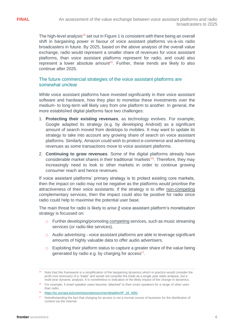The high-level analysis<sup>14</sup> set out in [Figure 1](#page-3-0) is consistent with there being an overall shift in bargaining power in favour of voice assistant platforms vis-à-vis radio broadcasters in future. By 2025, based on the above analysis of the overall value exchange, radio would represent a smaller share of revenues for voice assistant platforms, than voice assistant platforms represent for radio, and could also represent a lower absolute amount<sup>15</sup>. Further, these trends are likely to also continue after 2025.

# The future commercial strategies of the voice assistant platforms are somewhat unclear

While voice assistant platforms have invested significantly in their voice assistant software and hardware, how they plan to monetise these investments over the medium- to long-term will likely vary from one platform to another. In general, the more established digital platforms face two challenges:

- 1. **Protecting their existing revenues**, as technology evolves. For example, Google adapted its strategy (e.g. by developing Android) as a significant amount of search moved from desktops to mobiles. It may want to update its strategy to take into account any growing share of search on voice assistant platforms. Similarly, Amazon could wish to protect e-commerce and advertising revenues as some transactions move to voice assistant platforms.
- 2. **Continuing to grow revenues**. Some of the digital platforms already have considerable market shares in their traditional 'markets' <sup>16</sup>. Therefore, they may increasingly need to look to other markets in order to continue growing consumer reach and hence revenues.

If voice assistant platforms' primary strategy is to protect existing core markets, then the impact on radio may not be negative as the platforms would prioritise the attractiveness of their voice assistants. If the strategy is to offer non-competing complementary services, then the impact could also be positive for radio since radio could help to maximise the potential user base.

The main threat for radio is likely to arise if voice assistant platform's monetisation strategy is focussed on:

- $\Box$  Further developing/promoting competing services, such as music streaming services (or radio-like services).
- □ Audio advertising voice assistant platforms are able to leverage significant amounts of highly valuable data to offer audio advertisers.
- $\Box$  Exploiting their platform status to capture a greater share of the value being generated by radio e.g. by charging for access<sup>17</sup>.

<sup>14</sup> Note that this framework is a simplification of the bargaining dynamics which in practice would consider the profit (not revenues) of a "trade" and would not consider the trade as a single year static analysis, but a multi-year dynamic analysis. It is nonetheless is indicative of the likely impact of the change in dynamics.

<sup>15</sup> For example, if smart speaker users become 'attached' to their smart speakers for a range of other uses than radio.

<sup>16</sup> [https://ec.europa.eu/commission/presscorner/detail/en/IP\\_18\\_4581](https://ec.europa.eu/commission/presscorner/detail/en/IP_18_4581)

<sup>17</sup> Notwithstanding the fact that charging for access is not a normal course of business for the distribution of content via the Internet.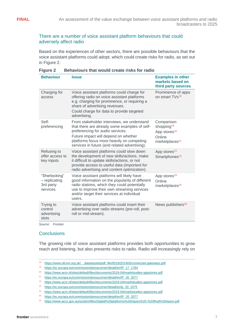### There are a number of voice assistant platform behaviours that could adversely affect radio

Based on the experiences of other sectors, there are possible behaviours that the voice assistant platforms could adopt, which could create risks for radio, as set out in [Figure 2.](#page-6-0)

| <b>Behaviour</b>                                          | <b>Issue</b>                                                                                                                                                                                                                                                          | <b>Examples in other</b><br>markets based on<br>third party sources                                      |
|-----------------------------------------------------------|-----------------------------------------------------------------------------------------------------------------------------------------------------------------------------------------------------------------------------------------------------------------------|----------------------------------------------------------------------------------------------------------|
| Charging for<br>access                                    | Voice assistant platforms could charge for<br>offering radio on voice assistant platforms<br>e.g. charging for prominence, or requiring a<br>share of advertising revenues.<br>Could charge for data to provide targeted<br>advertising.                              | Prominence of apps<br>on smart TVs <sup>18</sup>                                                         |
| Self-<br>preferencing                                     | From stakeholder interviews, we understand<br>that there are already some examples of self-<br>preferencing for audio services.<br>Future impact will depend on whether<br>platforms focus more heavily on competing<br>services in future (and related advertising). | Comparison<br>shopping <sup>19</sup><br>App stores <sup>20</sup><br>Online<br>marketplaces <sup>21</sup> |
| Refusing to<br>offer access to<br>key inputs              | Voice assistant platforms could slow down<br>the development of new skills/actions, make<br>it difficult to update skills/actions, or not<br>provide access to useful data (important for<br>radio advertising and content optimization).                             | App stores <sup>22</sup><br>Smartphones <sup>23</sup>                                                    |
| "Sherlocking"<br>$-$ replicating<br>3rd party<br>services | Voice assistant platforms will likely have<br>good information on the popularity of different<br>radio stations, which they could potentially<br>use to improve their own streaming services<br>and/or target their services at individual<br>users.                  | App stores <sup>24</sup><br>Online<br>marketplaces <sup>25</sup>                                         |
| Trying to<br>control<br>advertising<br>slots              | Voice assistant platforms could insert their<br>advertising over radio streams (pre-roll, post-<br>roll or mid-stream).                                                                                                                                               | News publishers <sup>26</sup>                                                                            |

<span id="page-6-0"></span>

*Source: Frontier*

# **Conclusions**

The growing role of voice assistant platforms provides both opportunities to grow reach and listening, but also presents risks to radio. Radio will increasingly rely on

- <sup>18</sup> [https://www.ofcom.org.uk/\\_\\_data/assets/pdf\\_file/0019/201493/connected-gateways.pdf](https://www.ofcom.org.uk/__data/assets/pdf_file/0019/201493/connected-gateways.pdf)
- <sup>19</sup> [https://ec.europa.eu/commission/presscorner/detail/en/IP\\_17\\_1784](https://ec.europa.eu/commission/presscorner/detail/en/IP_17_1784)
- <sup>20</sup> <https://www.acm.nl/sites/default/files/documents/2019-04/marktstudies-appstores.pdf>
- <sup>21</sup> [https://ec.europa.eu/commission/presscorner/detail/en/IP\\_20\\_2077](https://ec.europa.eu/commission/presscorner/detail/en/IP_20_2077)
- <sup>22</sup> <https://www.acm.nl/sites/default/files/documents/2019-04/marktstudies-appstores.pdf>
- <sup>23</sup> [https://ec.europa.eu/commission/presscorner/detail/en/ip\\_20\\_1075](https://ec.europa.eu/commission/presscorner/detail/en/ip_20_1075)
- <sup>24</sup> <https://www.acm.nl/sites/default/files/documents/2019-04/marktstudies-appstores.pdf>
- <sup>25</sup> [https://ec.europa.eu/commission/presscorner/detail/en/IP\\_20\\_2077](https://ec.europa.eu/commission/presscorner/detail/en/IP_20_2077)

<sup>26</sup> <https://www.accc.gov.au/system/files/Digital%20platforms%20inquiry%20-%20final%20report.pdf>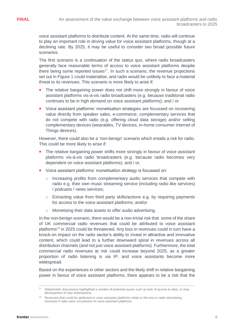voice assistant platforms to distribute content. At the same time, radio will continue to play an important role in driving value for voice assistant platforms, though at a declining rate. By 2025, it may be useful to consider two broad possible future scenarios.

The first scenario is a continuation of the status quo, where radio broadcasters generally face reasonable terms of access to voice assistant platforms despite there being some reported issues<sup>27</sup>. In such a scenario, the revenue projections set out in [Figure 1](#page-3-0) could materialise, and radio would be unlikely to face a material threat to its revenues. This scenario is more likely to arise if:

- **The relative bargaining power does not shift more strongly in favour of voice** assistant platforms vis-à-vis radio broadcasters (e.g. because traditional radio continues to be in high demand on voice assistant platforms); and / or
- Voice assistant platforms' monetisation strategies are focussed on recovering value directly from speaker sales, e-commerce, complementary services that do not compete with radio (e.g. offering cloud data storage) and/or selling complementary devices (wearables, TV devices, in-home consumer Internet of Things devices).

However, there could also be a 'non-benign' scenario which entails a risk for radio. This could be more likely to arise if:

- **The relative bargaining power shifts more strongly in favour of voice assistant** platforms vis-à-vis radio broadcasters (e.g. because radio becomes very dependent on voice assistant platforms); and / or,
- Voice assistant platforms' monetisation strategy is focussed on:
	- □ Increasing profits from complementary audio services that compete with radio e.g. their own music streaming service (including radio like services) / podcasts / news services;
	- $\Box$  Extracting value from third party skills/actions e.g. by requiring payments for access to the voice assistant platforms; and/or
	- □ Monetising their data assets to offer audio advertising.

In the non-benign scenario, there would be a non-trivial risk that some of the share of UK commercial radio revenues that could be attributed to voice assistant platforms<sup>28</sup> in 2025 could be threatened. Any loss in revenues could in turn have a knock-on impact on the radio sector's ability to invest in attractive and innovative content, which could lead to a further downward spiral in revenues across all distribution channels (and not just voice assistant platforms). Furthermore, the total commercial radio revenues at risk could increase beyond 2025, as a greater proportion of radio listening is via IP, and voice assistants become more widespread.

Based on the experiences in other sectors and the likely shift in relative bargaining power in favour of voice assistant platforms, there appears to be a risk that the

Stakeholder discussions highlighted a number of potential issues such as lack of access to data, or slow development of new skills/actions.

<sup>&</sup>lt;sup>28</sup> Revenues that could be attributed to voice assistant platforms relate to the loss in radio advertising revenues if radio were not present on voice assistant platforms.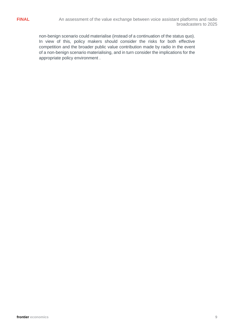non-benign scenario could materialise (instead of a continuation of the status quo). In view of this, policy makers should consider the risks for both effective competition and the broader public value contribution made by radio in the event of a non-benign scenario materialising, and in turn consider the implications for the appropriate policy environment .